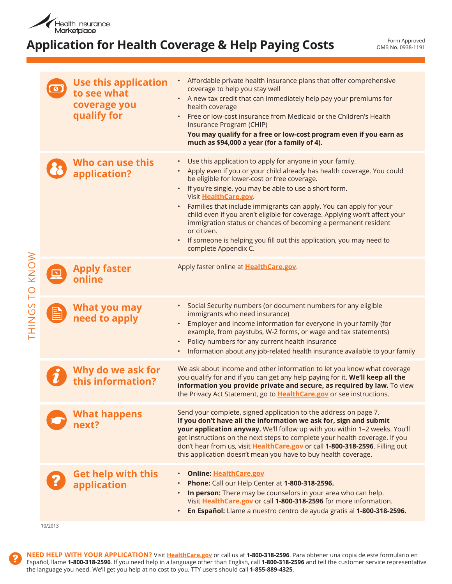

## **Application for Health Coverage & Help Paying Costs**

Form Approved OMB No. 0938-1191

|               |   | <b>Use this application</b><br>to see what<br>coverage you<br>qualify for | Affordable private health insurance plans that offer comprehensive<br>coverage to help you stay well<br>• A new tax credit that can immediately help pay your premiums for<br>health coverage<br>• Free or low-cost insurance from Medicaid or the Children's Health<br>Insurance Program (CHIP)<br>You may qualify for a free or low-cost program even if you earn as<br>much as \$94,000 a year (for a family of 4).                                                                                                                                                                                         |
|---------------|---|---------------------------------------------------------------------------|----------------------------------------------------------------------------------------------------------------------------------------------------------------------------------------------------------------------------------------------------------------------------------------------------------------------------------------------------------------------------------------------------------------------------------------------------------------------------------------------------------------------------------------------------------------------------------------------------------------|
|               |   | Who can use this<br>application?                                          | Use this application to apply for anyone in your family.<br>• Apply even if you or your child already has health coverage. You could<br>be eligible for lower-cost or free coverage.<br>• If you're single, you may be able to use a short form.<br>Visit HealthCare.gov.<br>Families that include immigrants can apply. You can apply for your<br>child even if you aren't eligible for coverage. Applying won't affect your<br>immigration status or chances of becoming a permanent resident<br>or citizen.<br>If someone is helping you fill out this application, you may need to<br>complete Appendix C. |
| TO KNOW       | 坕 | <b>Apply faster</b><br>online                                             | Apply faster online at HealthCare.gov.                                                                                                                                                                                                                                                                                                                                                                                                                                                                                                                                                                         |
| <b>THINGS</b> | B | What you may<br>need to apply                                             | Social Security numbers (or document numbers for any eligible<br>immigrants who need insurance)<br>Employer and income information for everyone in your family (for<br>example, from paystubs, W-2 forms, or wage and tax statements)<br>Policy numbers for any current health insurance<br>Information about any job-related health insurance available to your family                                                                                                                                                                                                                                        |
|               |   | Why do we ask for<br>this information?                                    | We ask about income and other information to let you know what coverage<br>you qualify for and if you can get any help paying for it. We'll keep all the<br>information you provide private and secure, as required by law. To view<br>the Privacy Act Statement, go to HealthCare.gov or see instructions.                                                                                                                                                                                                                                                                                                    |
|               |   | <b>What happens</b><br>next?                                              | Send your complete, signed application to the address on page 7.<br>If you don't have all the information we ask for, sign and submit<br>your application anyway. We'll follow up with you within 1-2 weeks. You'll<br>get instructions on the next steps to complete your health coverage. If you<br>don't hear from us, visit HealthCare.gov or call 1-800-318-2596. Filling out<br>this application doesn't mean you have to buy health coverage.                                                                                                                                                           |
|               |   | <b>Get help with this</b><br>application                                  | <b>Online: HealthCare.gov</b><br>Phone: Call our Help Center at 1-800-318-2596.<br>In person: There may be counselors in your area who can help.<br>Visit HealthCare.gov or call 1-800-318-2596 for more information.<br>En Español: Llame a nuestro centro de ayuda gratis al 1-800-318-2596.                                                                                                                                                                                                                                                                                                                 |

10/2013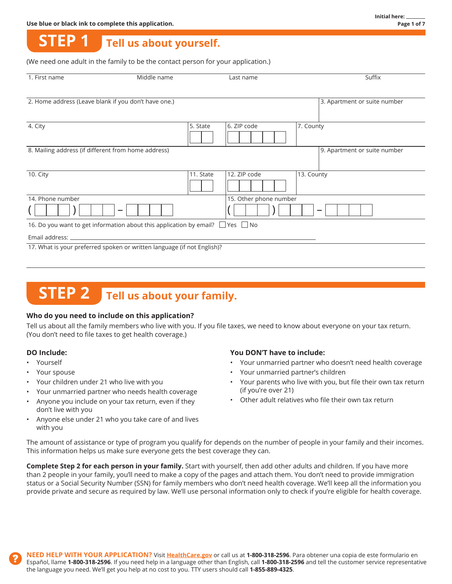#### **STEP 1 Tell us about yourself.**

(We need one adult in the family to be the contact person for your application.)

| 1. First name                                       | Middle name                                                                              |           | Last name              |            | Suffix                       |
|-----------------------------------------------------|------------------------------------------------------------------------------------------|-----------|------------------------|------------|------------------------------|
|                                                     | 2. Home address (Leave blank if you don't have one.)                                     |           |                        |            | 3. Apartment or suite number |
| 4. City                                             |                                                                                          | 5. State  | 6. ZIP code            | 7. County  |                              |
| 8. Mailing address (if different from home address) |                                                                                          |           |                        |            | 9. Apartment or suite number |
| 10. City                                            |                                                                                          | 11. State | 12. ZIP code           | 13. County |                              |
| 14. Phone number                                    |                                                                                          |           | 15. Other phone number |            |                              |
|                                                     |                                                                                          |           |                        |            |                              |
|                                                     | 16. Do you want to get information about this application by email? $\Box$ Yes $\Box$ No |           |                        |            |                              |
| Email address:                                      |                                                                                          |           |                        |            |                              |
|                                                     | 17. What is your preferred spoken or written language (if not English)?                  |           |                        |            |                              |
|                                                     |                                                                                          |           |                        |            |                              |

# **STEP 2** Tell us about your family.

#### **Who do you need to include on this application?**

Tell us about all the family members who live with you. If you file taxes, we need to know about everyone on your tax return. (You don't need to file taxes to get health coverage.)

- 
- 
- 
- Your unmarried partner who needs health coverage (if you're over 21)
- don't live with you
- Anyone else under 21 who you take care of and lives with you

#### **DO Include: You DON'T have to include:**

- Yourself **Figure 1.1 To 2.5 To 2.5 All 2.5 All 2.5 All 2.5 All 2.5 All 2.5 All 2.5 All 2.5 All 2.6 All 2.6 All 2.6 All 2.6 All 2.6 All 2.6 All 2.6 All 2.6 All 2.6 All 2.6 All 2.6 All 2.6 All 2.6 All 2.6 All 2.6 All 2.6 All**
- Your spouse **Accord Provide Contract Contract Contract Contract Contract Contract Contract Contract Contract Contract Contract Contract Contract Contract Contract Contract Contract Contract Contract Contract Contract Contr**
- Your children under 21 who live with you **•** Your parents who live with you, but file their own tax return
- Anyone you include on your tax return, even if they **•** Other adult relatives who file their own tax return

The amount of assistance or type of program you qualify for depends on the number of people in your family and their incomes. This information helps us make sure everyone gets the best coverage they can.

**Complete Step 2 for each person in your family.** Start with yourself, then add other adults and children. If you have more than 2 people in your family, you'll need to make a copy of the pages and attach them. You don't need to provide immigration status or a Social Security Number (SSN) for family members who don't need health coverage. We'll keep all the information you provide private and secure as required by law. We'll use personal information only to check if you're eligible for health coverage.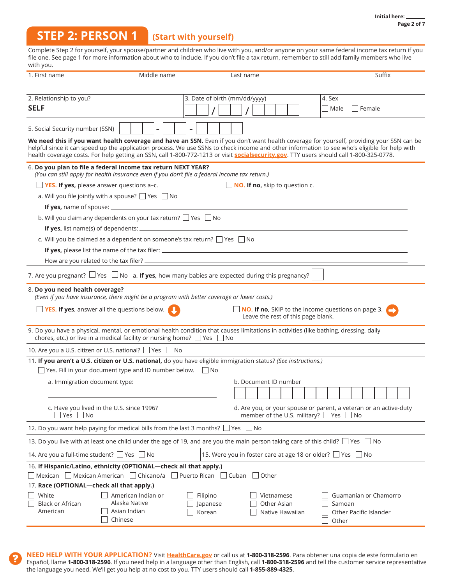### **STEP 2: PERSON 1 (Start with yourself)**

Complete Step 2 for yourself, your spouse/partner and children who live with you, and/or anyone on your same federal income tax return if you file one. See page 1 for more information about who to include. If you don't file a tax return, remember to still add family members who live  $with you$ 

| with you.                                                                                                                                                                                                                                                                              |                               |                               |                                              |                                    |                                                                                                                                          |
|----------------------------------------------------------------------------------------------------------------------------------------------------------------------------------------------------------------------------------------------------------------------------------------|-------------------------------|-------------------------------|----------------------------------------------|------------------------------------|------------------------------------------------------------------------------------------------------------------------------------------|
| 1. First name                                                                                                                                                                                                                                                                          | Middle name                   |                               | Last name                                    |                                    | Suffix                                                                                                                                   |
| 2. Relationship to you?                                                                                                                                                                                                                                                                |                               | 3. Date of birth (mm/dd/yyyy) |                                              |                                    | 4. Sex                                                                                                                                   |
| <b>SELF</b>                                                                                                                                                                                                                                                                            |                               |                               |                                              |                                    | $\Box$ Male<br>$\Box$ Female                                                                                                             |
|                                                                                                                                                                                                                                                                                        |                               |                               |                                              |                                    |                                                                                                                                          |
| 5. Social Security number (SSN)                                                                                                                                                                                                                                                        |                               |                               |                                              |                                    |                                                                                                                                          |
| helpful since it can speed up the application process. We use SSNs to check income and other information to see who's eligible for help with<br>health coverage costs. For help getting an SSN, call 1-800-772-1213 or visit socialsecurity.gov. TTY users should call 1-800-325-0778. |                               |                               |                                              |                                    | We need this if you want health coverage and have an SSN. Even if you don't want health coverage for yourself, providing your SSN can be |
| 6. Do you plan to file a federal income tax return NEXT YEAR?<br>(You can still apply for health insurance even if you don't file a federal income tax return.)                                                                                                                        |                               |                               |                                              |                                    |                                                                                                                                          |
| <b>TYES. If yes,</b> please answer questions a-c.                                                                                                                                                                                                                                      |                               |                               | $\Box$ <b>NO.</b> If no, skip to question c. |                                    |                                                                                                                                          |
| a. Will you file jointly with a spouse? $\Box$ Yes $\Box$ No                                                                                                                                                                                                                           |                               |                               |                                              |                                    |                                                                                                                                          |
|                                                                                                                                                                                                                                                                                        |                               |                               |                                              |                                    |                                                                                                                                          |
| b. Will you claim any dependents on your tax return? $\Box$ Yes $\Box$ No                                                                                                                                                                                                              |                               |                               |                                              |                                    |                                                                                                                                          |
|                                                                                                                                                                                                                                                                                        |                               |                               |                                              |                                    |                                                                                                                                          |
| c. Will you be claimed as a dependent on someone's tax return? $\Box$ Yes $\Box$ No                                                                                                                                                                                                    |                               |                               |                                              |                                    |                                                                                                                                          |
|                                                                                                                                                                                                                                                                                        |                               |                               |                                              |                                    |                                                                                                                                          |
|                                                                                                                                                                                                                                                                                        |                               |                               |                                              |                                    |                                                                                                                                          |
| 7. Are you pregnant? $\Box$ Yes $\Box$ No a. If yes, how many babies are expected during this pregnancy?                                                                                                                                                                               |                               |                               |                                              |                                    |                                                                                                                                          |
| 8. Do you need health coverage?<br>(Even if you have insurance, there might be a program with better coverage or lower costs.)                                                                                                                                                         |                               |                               |                                              |                                    |                                                                                                                                          |
| <b>Properly YES.</b> If yes, answer all the questions below.                                                                                                                                                                                                                           |                               |                               |                                              | Leave the rest of this page blank. | $\Box$ NO. If no, SKIP to the income questions on page 3.                                                                                |
| 9. Do you have a physical, mental, or emotional health condition that causes limitations in activities (like bathing, dressing, daily<br>chores, etc.) or live in a medical facility or nursing home? $\Box$ Yes $\Box$ No                                                             |                               |                               |                                              |                                    |                                                                                                                                          |
| 10. Are you a U.S. citizen or U.S. national? □ Yes □ No                                                                                                                                                                                                                                |                               |                               |                                              |                                    |                                                                                                                                          |
| 11. If you aren't a U.S. citizen or U.S. national, do you have eligible immigration status? (See instructions.)                                                                                                                                                                        |                               |                               |                                              |                                    |                                                                                                                                          |
| $\Box$ Yes. Fill in your document type and ID number below. $\Box$ No                                                                                                                                                                                                                  |                               |                               |                                              |                                    |                                                                                                                                          |
| a. Immigration document type:                                                                                                                                                                                                                                                          |                               |                               | b. Document ID number                        |                                    |                                                                                                                                          |
|                                                                                                                                                                                                                                                                                        |                               |                               |                                              |                                    |                                                                                                                                          |
| c. Have you lived in the U.S. since 1996?<br>$Yes$ No                                                                                                                                                                                                                                  |                               |                               |                                              |                                    | d. Are you, or your spouse or parent, a veteran or an active-duty<br>member of the U.S. military? $\Box$ Yes $\Box$ No                   |
| 12. Do you want help paying for medical bills from the last 3 months? □ Yes □ No                                                                                                                                                                                                       |                               |                               |                                              |                                    |                                                                                                                                          |
| 13. Do you live with at least one child under the age of 19, and are you the main person taking care of this child? $\Box$ Yes $\Box$ No                                                                                                                                               |                               |                               |                                              |                                    |                                                                                                                                          |
| 14. Are you a full-time student? □ Yes □ No                                                                                                                                                                                                                                            |                               |                               |                                              |                                    | 15. Were you in foster care at age 18 or older? □ Yes □ No                                                                               |
| 16. If Hispanic/Latino, ethnicity (OPTIONAL-check all that apply.)                                                                                                                                                                                                                     |                               |                               |                                              |                                    |                                                                                                                                          |
| $\Box$ Mexican $\Box$ Mexican American $\Box$ Chicano/a                                                                                                                                                                                                                                |                               | Puerto Rican $\Box$ Cuban     | Other_                                       |                                    |                                                                                                                                          |
| 17. Race (OPTIONAL-check all that apply.)                                                                                                                                                                                                                                              |                               |                               |                                              |                                    |                                                                                                                                          |
| White                                                                                                                                                                                                                                                                                  | American Indian or            | Filipino                      |                                              | Vietnamese                         | Guamanian or Chamorro                                                                                                                    |
| <b>Black or African</b><br>American<br>Chinese                                                                                                                                                                                                                                         | Alaska Native<br>Asian Indian | Japanese<br>Korean            |                                              | Other Asian<br>Native Hawaiian     | Samoan<br>Other Pacific Islander<br>Other                                                                                                |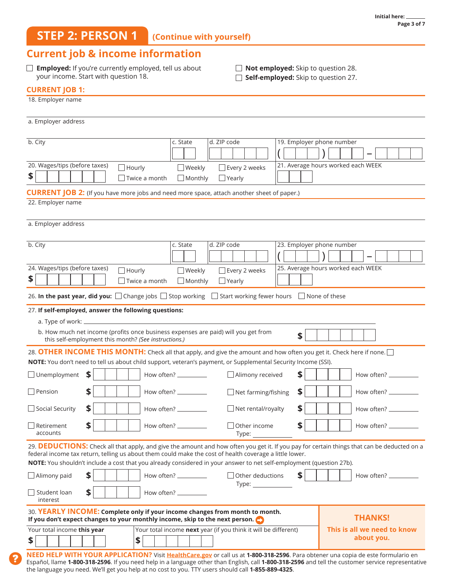## **STEP 2: PERSON 1 (Continue with yourself)**

### **Current job & income information**

**Employed:** If you're currently employed, tell us about your income. Start with question 18.

**Not employed:** Skip to question 28.

**Self-employed:** Skip to question 27.

#### **CURRENT JOB 1:**

| 18. Employer name                              |                                                                                                               |                                                                                                                                                                                                                                 |                                               |                           |                                                                                                                                                                               |
|------------------------------------------------|---------------------------------------------------------------------------------------------------------------|---------------------------------------------------------------------------------------------------------------------------------------------------------------------------------------------------------------------------------|-----------------------------------------------|---------------------------|-------------------------------------------------------------------------------------------------------------------------------------------------------------------------------|
| a. Employer address                            |                                                                                                               |                                                                                                                                                                                                                                 |                                               |                           |                                                                                                                                                                               |
| b. City<br>20. Wages/tips (before taxes)<br>\$ | $\Box$ Hourly<br>$\Box$ Twice a month                                                                         | c. State<br>$\Box$ Weekly<br>$\Box$ Monthly<br><b>CURRENT JOB 2:</b> (If you have more jobs and need more space, attach another sheet of paper.)                                                                                | d. ZIP code<br>Every 2 weeks<br>$\Box$ Yearly | 19. Employer phone number | 21. Average hours worked each WEEK                                                                                                                                            |
| 22. Employer name                              |                                                                                                               |                                                                                                                                                                                                                                 |                                               |                           |                                                                                                                                                                               |
| a. Employer address                            |                                                                                                               |                                                                                                                                                                                                                                 |                                               |                           |                                                                                                                                                                               |
| b. City<br>24. Wages/tips (before taxes)<br>\$ | $\Box$ Hourly<br>$\Box$ Twice a month                                                                         | c. State<br>$\Box$ Weekly<br>$\Box$ Monthly                                                                                                                                                                                     | d. ZIP code<br>Every 2 weeks<br>$\Box$ Yearly | 23. Employer phone number | 25. Average hours worked each WEEK                                                                                                                                            |
|                                                |                                                                                                               | 26. In the past year, did you: □ Change jobs □ Stop working □ Start working fewer hours □ None of these                                                                                                                         |                                               |                           |                                                                                                                                                                               |
| a. Type of work: _                             | 27. If self-employed, answer the following questions:<br>this self-employment this month? (See instructions.) | b. How much net income (profits once business expenses are paid) will you get from                                                                                                                                              |                                               | \$                        |                                                                                                                                                                               |
|                                                |                                                                                                               |                                                                                                                                                                                                                                 |                                               |                           | 28. OTHER INCOME THIS MONTH: Check all that apply, and give the amount and how often you get it. Check here if none.                                                          |
| $\Box$ Unemployment                            | \$                                                                                                            | NOTE: You don't need to tell us about child support, veteran's payment, or Supplemental Security Income (SSI).<br>How often? $\_\_\_\_\_\_\_\_\_\_\_\_\_\_\_$                                                                   | $\Box$ Alimony received                       | S                         | How often? ____________                                                                                                                                                       |
| Pension                                        | \$                                                                                                            | How often? __________                                                                                                                                                                                                           | $\Box$ Net farming/fishing                    | \$                        | How often? __________                                                                                                                                                         |
| $\Box$ Social Security                         | \$                                                                                                            | How often? _________                                                                                                                                                                                                            | $\Box$ Net rental/royalty                     | \$                        | How often? _________                                                                                                                                                          |
| Retirement<br>accounts                         | \$                                                                                                            | How often? $\_$                                                                                                                                                                                                                 | Other income<br>Type:                         | \$                        | How often?                                                                                                                                                                    |
|                                                |                                                                                                               | federal income tax return, telling us about them could make the cost of health coverage a little lower.<br>NOTE: You shouldn't include a cost that you already considered in your answer to net self-employment (question 27b). |                                               |                           | 29. DEDUCTIONS: Check all that apply, and give the amount and how often you get it. If you pay for certain things that can be deducted on a                                   |
| $\Box$ Alimony paid                            | \$                                                                                                            | How often? __________                                                                                                                                                                                                           | Other deductions<br>Type: Type:               | \$                        | How often? ___________                                                                                                                                                        |
| $\Box$ Student loan<br>interest                | \$                                                                                                            | How often? __________                                                                                                                                                                                                           |                                               |                           |                                                                                                                                                                               |
|                                                |                                                                                                               | 30. YEARLY INCOME: Complete only if your income changes from month to month.<br>If you don't expect changes to your monthly income, skip to the next person.                                                                    |                                               |                           | <b>THANKS!</b>                                                                                                                                                                |
| Your total income this year<br>\$              | \$                                                                                                            | Your total income next year (if you think it will be different)                                                                                                                                                                 |                                               |                           | This is all we need to know<br>about you.<br>NEED HELP WITH YOUR APPLICATION? Visit HealthCare.gov or call us at 1-800-318-2596. Para obtener una copia de este formulario en |
|                                                |                                                                                                               |                                                                                                                                                                                                                                 |                                               |                           | Español, llame 1-800-318-2596. If you need help in a language other than English, call 1-800-318-2596 and tell the customer service representative                            |

the language you need. We'll get you help at no cost to you. TTY users should call **1-855-889-4325**.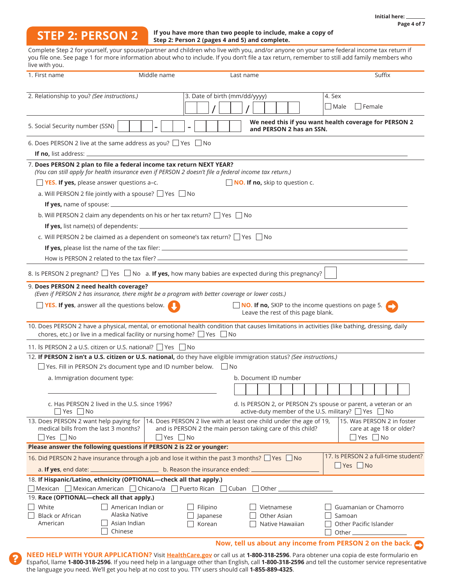## **STEP 2: PERSON 2**

#### **If you have more than two people to include, make a copy of Step 2: Person 2 (pages 4 and 5) and complete.**

Complete Step 2 for yourself, your spouse/partner and children who live with you, and/or anyone on your same federal income tax return if you file one. See page 1 for more information about who to include. If you don't file a tax return, remember to still add family members who live with you.

| 1. First name                                                                   | Middle name                                                                                                                                                                   |                                | Last name                                                                                                                         | Suffix                                                                                                                                        |
|---------------------------------------------------------------------------------|-------------------------------------------------------------------------------------------------------------------------------------------------------------------------------|--------------------------------|-----------------------------------------------------------------------------------------------------------------------------------|-----------------------------------------------------------------------------------------------------------------------------------------------|
|                                                                                 |                                                                                                                                                                               |                                |                                                                                                                                   |                                                                                                                                               |
| 2. Relationship to you? (See instructions.)                                     |                                                                                                                                                                               | 3. Date of birth (mm/dd/yyyy)  |                                                                                                                                   | 4. Sex                                                                                                                                        |
|                                                                                 |                                                                                                                                                                               |                                |                                                                                                                                   | l Female<br>  Male                                                                                                                            |
| 5. Social Security number (SSN)                                                 |                                                                                                                                                                               |                                | and PERSON 2 has an SSN.                                                                                                          | We need this if you want health coverage for PERSON 2                                                                                         |
|                                                                                 | 6. Does PERSON 2 live at the same address as you? $\Box$ Yes $\Box$ No                                                                                                        |                                |                                                                                                                                   |                                                                                                                                               |
| <b>If no, list address:</b>                                                     |                                                                                                                                                                               |                                |                                                                                                                                   |                                                                                                                                               |
|                                                                                 | 7. Does PERSON 2 plan to file a federal income tax return NEXT YEAR?<br>(You can still apply for health insurance even if PERSON 2 doesn't file a federal income tax return.) |                                |                                                                                                                                   |                                                                                                                                               |
|                                                                                 | $\Box$ YES. If yes, please answer questions a-c.                                                                                                                              |                                | NO. If no, skip to question c.                                                                                                    |                                                                                                                                               |
|                                                                                 | a. Will PERSON 2 file jointly with a spouse? $\Box$ Yes $\Box$ No                                                                                                             |                                |                                                                                                                                   |                                                                                                                                               |
|                                                                                 |                                                                                                                                                                               |                                |                                                                                                                                   |                                                                                                                                               |
|                                                                                 | b. Will PERSON 2 claim any dependents on his or her tax return? $\Box$ Yes $\Box$ No                                                                                          |                                |                                                                                                                                   |                                                                                                                                               |
|                                                                                 |                                                                                                                                                                               |                                |                                                                                                                                   |                                                                                                                                               |
|                                                                                 | c. Will PERSON 2 be claimed as a dependent on someone's tax return? $\Box$ Yes $\Box$ No                                                                                      |                                |                                                                                                                                   |                                                                                                                                               |
|                                                                                 |                                                                                                                                                                               |                                |                                                                                                                                   |                                                                                                                                               |
|                                                                                 |                                                                                                                                                                               |                                |                                                                                                                                   |                                                                                                                                               |
|                                                                                 |                                                                                                                                                                               |                                |                                                                                                                                   |                                                                                                                                               |
|                                                                                 | 8. Is PERSON 2 pregnant? $\Box$ Yes $\Box$ No a. If yes, how many babies are expected during this pregnancy?                                                                  |                                |                                                                                                                                   |                                                                                                                                               |
| 9. Does PERSON 2 need health coverage?                                          | (Even if PERSON 2 has insurance, there might be a program with better coverage or lower costs.)                                                                               |                                |                                                                                                                                   |                                                                                                                                               |
|                                                                                 | $\Box$ YES. If yes, answer all the questions below.                                                                                                                           |                                | NO. If no, SKIP to the income questions on page 5.                                                                                |                                                                                                                                               |
|                                                                                 |                                                                                                                                                                               |                                | Leave the rest of this page blank.                                                                                                |                                                                                                                                               |
|                                                                                 |                                                                                                                                                                               |                                |                                                                                                                                   | 10. Does PERSON 2 have a physical, mental, or emotional health condition that causes limitations in activities (like bathing, dressing, daily |
|                                                                                 | chores, etc.) or live in a medical facility or nursing home? $\Box$ Yes $\Box$ No                                                                                             |                                |                                                                                                                                   |                                                                                                                                               |
|                                                                                 | 11. Is PERSON 2 a U.S. citizen or U.S. national? □ Yes □ No                                                                                                                   |                                |                                                                                                                                   |                                                                                                                                               |
|                                                                                 | 12. If PERSON 2 isn't a U.S. citizen or U.S. national, do they have eligible immigration status? (See instructions.)                                                          |                                |                                                                                                                                   |                                                                                                                                               |
|                                                                                 | $\Box$ Yes. Fill in PERSON 2's document type and ID number below. $\Box$ No                                                                                                   |                                |                                                                                                                                   |                                                                                                                                               |
| a. Immigration document type:                                                   |                                                                                                                                                                               |                                | b. Document ID number                                                                                                             |                                                                                                                                               |
|                                                                                 |                                                                                                                                                                               |                                |                                                                                                                                   |                                                                                                                                               |
| Yes     No                                                                      | c. Has PERSON 2 lived in the U.S. since 1996?                                                                                                                                 |                                |                                                                                                                                   | d. Is PERSON 2, or PERSON 2's spouse or parent, a veteran or an<br>active-duty member of the U.S. military? □ Yes □ No                        |
| 13. Does PERSON 2 want help paying for<br>medical bills from the last 3 months? |                                                                                                                                                                               |                                | 14. Does PERSON 2 live with at least one child under the age of 19,<br>and is PERSON 2 the main person taking care of this child? | 15. Was PERSON 2 in foster<br>care at age 18 or older?                                                                                        |
| $\Box$ Yes $\Box$ No                                                            | $\Box$ Yes $\Box$ No                                                                                                                                                          |                                |                                                                                                                                   | $\Box$ Yes $\Box$ No                                                                                                                          |
|                                                                                 | Please answer the following questions if PERSON 2 is 22 or younger:                                                                                                           |                                |                                                                                                                                   |                                                                                                                                               |
| a. If yes, end date: $=$                                                        | 16. Did PERSON 2 have insurance through a job and lose it within the past 3 months? $\Box$ Yes $\Box$ No                                                                      | b. Reason the insurance ended: |                                                                                                                                   | 17. Is PERSON 2 a full-time student?<br>$\Box$ Yes $\Box$ No                                                                                  |
|                                                                                 | 18. If Hispanic/Latino, ethnicity (OPTIONAL—check all that apply.)                                                                                                            |                                |                                                                                                                                   |                                                                                                                                               |
|                                                                                 | $\Box$ Mexican $\Box$ Mexican American $\Box$ Chicano/a $\Box$ Puerto Rican $\Box$ Cuban $\Box$ Other $\Box$                                                                  |                                |                                                                                                                                   |                                                                                                                                               |
| 19. Race (OPTIONAL-check all that apply.)                                       |                                                                                                                                                                               |                                |                                                                                                                                   |                                                                                                                                               |
| White                                                                           | American Indian or                                                                                                                                                            | Filipino                       | Vietnamese                                                                                                                        | Guamanian or Chamorro                                                                                                                         |
| <b>Black or African</b>                                                         | Alaska Native                                                                                                                                                                 | $\Box$ Japanese                | Other Asian                                                                                                                       | Samoan                                                                                                                                        |
| American                                                                        | Asian Indian<br>Chinese                                                                                                                                                       | Korean                         | Native Hawaiian                                                                                                                   | Other Pacific Islander<br>Other $\mathbf{-}$                                                                                                  |
|                                                                                 |                                                                                                                                                                               |                                |                                                                                                                                   | Now, tell us about any income from PERSON 2 on the back.                                                                                      |
|                                                                                 |                                                                                                                                                                               |                                |                                                                                                                                   |                                                                                                                                               |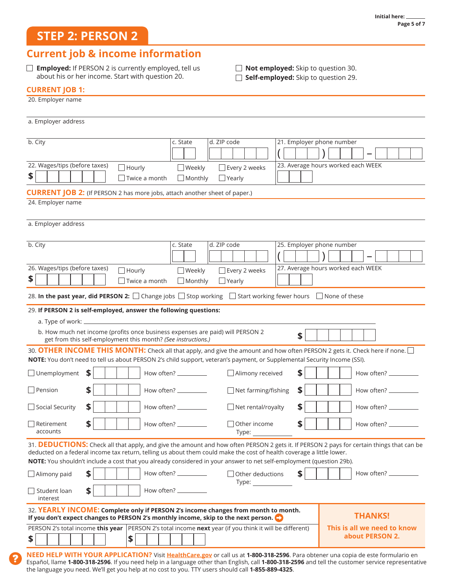## **STEP 2: PERSON 2**

## **Current job & income information**

**Employed:** If PERSON 2 is currently employed, tell us about his or her income. Start with question 20.

**Not employed:** Skip to question 30.

**Self-employed:** Skip to question 29.

#### **CURRENT JOB 1:**

| 20. Employer name                                                                                                                                                                                                                                                                                                                                                                          |                                                              |  |  |  |
|--------------------------------------------------------------------------------------------------------------------------------------------------------------------------------------------------------------------------------------------------------------------------------------------------------------------------------------------------------------------------------------------|--------------------------------------------------------------|--|--|--|
| a. Employer address                                                                                                                                                                                                                                                                                                                                                                        |                                                              |  |  |  |
| b. City<br>d. ZIP code<br>c. State                                                                                                                                                                                                                                                                                                                                                         | 21. Employer phone number                                    |  |  |  |
| 22. Wages/tips (before taxes)<br>$\Box$ Hourly<br>$\Box$ Weekly<br>$\Box$ Every 2 weeks                                                                                                                                                                                                                                                                                                    | 23. Average hours worked each WEEK                           |  |  |  |
| \$<br>Twice a month<br>$\Box$ Monthly<br>$\Box$ Yearly                                                                                                                                                                                                                                                                                                                                     |                                                              |  |  |  |
| <b>CURRENT JOB 2:</b> (If PERSON 2 has more jobs, attach another sheet of paper.)                                                                                                                                                                                                                                                                                                          |                                                              |  |  |  |
| 24. Employer name                                                                                                                                                                                                                                                                                                                                                                          |                                                              |  |  |  |
| a. Employer address                                                                                                                                                                                                                                                                                                                                                                        |                                                              |  |  |  |
| b. City<br>d. ZIP code<br>c. State                                                                                                                                                                                                                                                                                                                                                         | 25. Employer phone number                                    |  |  |  |
|                                                                                                                                                                                                                                                                                                                                                                                            |                                                              |  |  |  |
| 26. Wages/tips (before taxes)<br>$\Box$ Hourly<br>Every 2 weeks<br>$\Box$ Weekly                                                                                                                                                                                                                                                                                                           | 27. Average hours worked each WEEK                           |  |  |  |
| \$<br>Twice a month<br>$\Box$ Monthly<br>$\Box$ Yearly                                                                                                                                                                                                                                                                                                                                     |                                                              |  |  |  |
| 28. In the past year, did PERSON 2: □ Change jobs □ Stop working □ Start working fewer hours □ None of these                                                                                                                                                                                                                                                                               |                                                              |  |  |  |
| 29. If PERSON 2 is self-employed, answer the following questions:                                                                                                                                                                                                                                                                                                                          |                                                              |  |  |  |
| a. Type of work: $\overline{\phantom{a}}$                                                                                                                                                                                                                                                                                                                                                  |                                                              |  |  |  |
| b. How much net income (profits once business expenses are paid) will PERSON 2<br>get from this self-employment this month? (See instructions.)                                                                                                                                                                                                                                            | \$                                                           |  |  |  |
| 30. OTHER INCOME THIS MONTH: Check all that apply, and give the amount and how often PERSON 2 gets it. Check here if none.<br>NOTE: You don't need to tell us about PERSON 2's child support, veteran's payment, or Supplemental Security Income (SSI).                                                                                                                                    |                                                              |  |  |  |
| $\Box$ Unemployment<br>\$<br>Alimony received<br>How often? __________                                                                                                                                                                                                                                                                                                                     | S<br>How often? _____________                                |  |  |  |
| \$<br>$\Box$ Pension<br>How often? $\_\_\_\_\_\_\_\_\_\_\_\_\_\_$                                                                                                                                                                                                                                                                                                                          | \$<br>$\Box$ Net farming/fishing<br>How often? $\frac{1}{1}$ |  |  |  |
| \$<br>Social Security<br>How often? __________                                                                                                                                                                                                                                                                                                                                             | \$<br>$\Box$ Net rental/royalty<br>How often? __________     |  |  |  |
| \$<br>$\exists$ Other income<br>$\Box$ Retirement<br>How often?<br>accounts<br>Type:                                                                                                                                                                                                                                                                                                       | S<br>How often?                                              |  |  |  |
| 31. DEDUCTIONS: Check all that apply, and give the amount and how often PERSON 2 gets it. If PERSON 2 pays for certain things that can be<br>deducted on a federal income tax return, telling us about them could make the cost of health coverage a little lower.<br>NOTE: You shouldn't include a cost that you already considered in your answer to net self-employment (question 29b). |                                                              |  |  |  |
| \$<br>How often? __________<br>$\Box$ Alimony paid                                                                                                                                                                                                                                                                                                                                         | \$<br>How often?<br>Other deductions                         |  |  |  |
| \$<br>How often? ___________<br>$\sqsupset$ Student loan<br>interest                                                                                                                                                                                                                                                                                                                       | Type: Type:                                                  |  |  |  |
| 32. YEARLY INCOME: Complete only if PERSON 2's income changes from month to month.<br>If you don't expect changes to PERSON 2's monthly income, skip to the next person.                                                                                                                                                                                                                   | <b>THANKS!</b>                                               |  |  |  |
| PERSON 2's total income this year   PERSON 2's total income next year (if you think it will be different)<br>This is all we need to know<br>about PERSON 2.<br>\$<br>\$                                                                                                                                                                                                                    |                                                              |  |  |  |
| DDILICATIONI2                                                                                                                                                                                                                                                                                                                                                                              | roll us at <b>1.000.310.3506</b> Dava obtanos una conja      |  |  |  |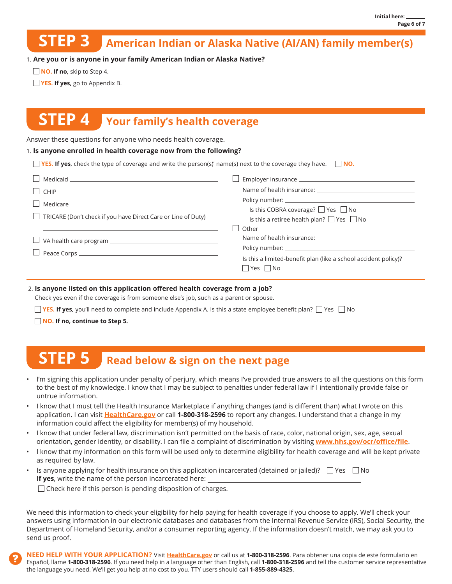#### **American Indian or Alaska Native (AI/AN) family member(s) STEP 3**

1. **Are you or is anyone in your family American Indian or Alaska Native?**

**NO. If no, skip to Step 4.** 

**YES. If yes, go to Appendix B.** 

## **STEP 4 Your family's health coverage**

Answer these questions for anyone who needs health coverage.

#### 1. **Is anyone enrolled in health coverage now from the following?**

| <b>Theory is all YES. If yes,</b> check the type of coverage and write the person(s)' name(s) next to the coverage they have. $\Box$ <b>NO.</b> |                                                                                           |
|-------------------------------------------------------------------------------------------------------------------------------------------------|-------------------------------------------------------------------------------------------|
| $\Box$ Medicaid $\Box$                                                                                                                          |                                                                                           |
|                                                                                                                                                 |                                                                                           |
| $\Box$ TRICARE (Don't check if you have Direct Care or Line of Duty)                                                                            | Is this COBRA coverage? □ Yes □ No<br>Is this a retiree health plan? $\Box$ Yes $\Box$ No |
| $\Box$ VA health care program $\Box$                                                                                                            | Other<br>Is this a limited-benefit plan (like a school accident policy)?<br>   Yes    No  |

#### 2. **Is anyone listed on this application offered health coverage from a job?**

Check yes even if the coverage is from someone else's job, such as a parent or spouse.

**YES. If yes,** you'll need to complete and include Appendix A. Is this a state employee benefit plan?  $\Box$  Yes  $\Box$  No

**NO. If no, continue to Step 5.**

#### **STEP 5 Read below & sign on the next page**

- I'm signing this application under penalty of perjury, which means I've provided true answers to all the questions on this form to the best of my knowledge. I know that I may be subject to penalties under federal law if I intentionally provide false or untrue information.
- I know that I must tell the Health Insurance Marketplace if anything changes (and is different than) what I wrote on this application. I can visit **HealthCare.gov** or call **1-800-318-2596** to report any changes. I understand that a change in my information could affect the eligibility for member(s) of my household.
- I know that under federal law, discrimination isn't permitted on the basis of race, color, national origin, sex, age, sexual orientation, gender identity, or disability. I can file a complaint of discrimination by visiting **[www.hhs.gov/ocr/office/file](http://www.hhs.gov/ocr/office/file)**.
- I know that my information on this form will be used only to determine eligibility for health coverage and will be kept private as required by law.
- Is anyone applying for health insurance on this application incarcerated (detained or jailed)?  $\Box$  Yes  $\Box$  No **If yes**, write the name of the person incarcerated here:

 $\Box$  Check here if this person is pending disposition of charges.

We need this information to check your eligibility for help paying for health coverage if you choose to apply. We'll check your answers using information in our electronic databases and databases from the Internal Revenue Service (IRS), Social Security, the Department of Homeland Security, and/or a consumer reporting agency. If the information doesn't match, we may ask you to send us proof.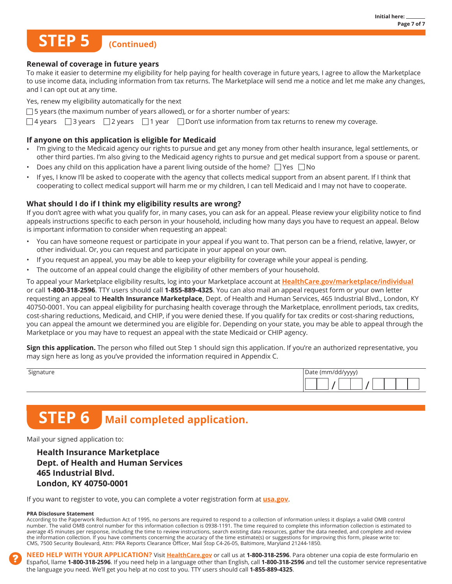## **(Continued) STEP 5**

#### **Renewal of coverage in future years**

To make it easier to determine my eligibility for help paying for health coverage in future years, I agree to allow the Marketplace to use income data, including information from tax returns. The Marketplace will send me a notice and let me make any changes, and I can opt out at any time.

Yes, renew my eligibility automatically for the next

 $\Box$  5 years (the maximum number of years allowed), or for a shorter number of years:

 $\Box$  4 years  $\Box$  3 years  $\Box$  2 years  $\Box$  1 year  $\Box$  Don't use information from tax returns to renew my coverage.

#### **If anyone on this application is eligible for Medicaid**

- I'm giving to the Medicaid agency our rights to pursue and get any money from other health insurance, legal settlements, or other third parties. I'm also giving to the Medicaid agency rights to pursue and get medical support from a spouse or parent.
- Does any child on this application have a parent living outside of the home?  $\Box$  Yes  $\Box$  No
- If yes, I know I'll be asked to cooperate with the agency that collects medical support from an absent parent. If I think that cooperating to collect medical support will harm me or my children, I can tell Medicaid and I may not have to cooperate.

#### **What should I do if I think my eligibility results are wrong?**

If you don't agree with what you qualify for, in many cases, you can ask for an appeal. Please review your eligibility notice to find appeals instructions specific to each person in your household, including how many days you have to request an appeal. Below is important information to consider when requesting an appeal:

- You can have someone request or participate in your appeal if you want to. That person can be a friend, relative, lawyer, or other individual. Or, you can request and participate in your appeal on your own.
- If you request an appeal, you may be able to keep your eligibility for coverage while your appeal is pending.
- The outcome of an appeal could change the eligibility of other members of your household.

To appeal your Marketplace eligibility results, log into your Marketplace account at **[HealthCare.gov/marketplace/individual](http://www.HealthCare.gov/marketplace/individual)** or call **1-800-318-2596**. TTY users should call **1-855-889-4325**. You can also mail an appeal request form or your own letter requesting an appeal to **Health Insurance Marketplace**, Dept. of Health and Human Services, 465 Industrial Blvd., London, KY 40750-0001. You can appeal eligibility for purchasing health coverage through the Marketplace, enrollment periods, tax credits, cost-sharing reductions, Medicaid, and CHIP, if you were denied these. If you qualify for tax credits or cost-sharing reductions, you can appeal the amount we determined you are eligible for. Depending on your state, you may be able to appeal through the Marketplace or you may have to request an appeal with the state Medicaid or CHIP agency.

**Sign this application.** The person who filled out Step 1 should sign this application. If you're an authorized representative, you may sign here as long as you've provided the information required in Appendix C.

| Signature | Date<br>(mm/dd/yyyy) |
|-----------|----------------------|
|           |                      |

## **STEP 6 Mail completed application.**

Mail your signed application to:

**Health Insurance Marketplace Dept. of Health and Human Services 465 Industrial Blvd. London, KY 40750-0001**

If you want to register to vote, you can complete a voter registration form at **usa.gov**.

#### **PRA Disclosure Statement**

According to the Paperwork Reduction Act of 1995, no persons are required to respond to a collection of information unless it displays a valid OMB control number. The valid OMB control number for this information collection is 0938-1191. The time required to complete this information collection is estimated to average 45 minutes per response, including the time to review instructions, search existing data resources, gather the data needed, and complete and review the information collection. If you have comments concerning the accuracy of the time estimate(s) or suggestions for improving this form, please write to: CMS, 7500 Security Boulevard, Attn: PRA Reports Clearance Officer, Mail Stop C4-26-05, Baltimore, Maryland 21244-1850.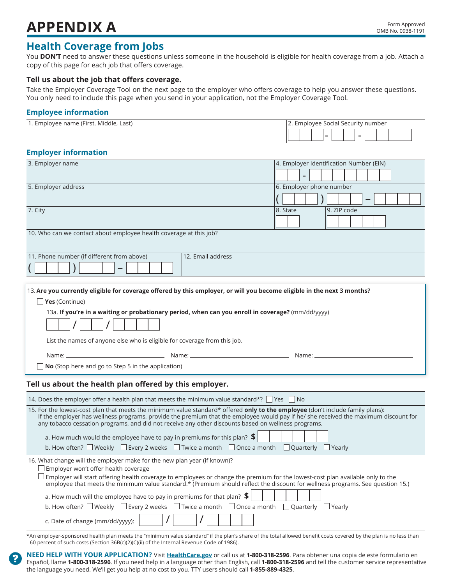## **APPENDIX A** Form Approved

## **Health Coverage from Jobs**

You **DON'T** need to answer these questions unless someone in the household is eligible for health coverage from a job. Attach a copy of this page for each job that offers coverage.

#### **Tell us about the job that offers coverage.**

Take the Employer Coverage Tool on the next page to the employer who offers coverage to help you answer these questions. You only need to include this page when you send in your application, not the Employer Coverage Tool.

### **Employee information**

| 1. Employee name (First, Middle, Last) | Z. Employee Social Security number |
|----------------------------------------|------------------------------------|
|                                        |                                    |

### **Employer information**

| 3. Employer name                                                                                                                                                                                                                                                                                                                                                             | 4. Employer Identification Number (EIN) |
|------------------------------------------------------------------------------------------------------------------------------------------------------------------------------------------------------------------------------------------------------------------------------------------------------------------------------------------------------------------------------|-----------------------------------------|
|                                                                                                                                                                                                                                                                                                                                                                              |                                         |
| 5. Employer address                                                                                                                                                                                                                                                                                                                                                          | 6. Employer phone number                |
|                                                                                                                                                                                                                                                                                                                                                                              |                                         |
| 7. City                                                                                                                                                                                                                                                                                                                                                                      | 8. State<br>9. ZIP code                 |
|                                                                                                                                                                                                                                                                                                                                                                              |                                         |
| 10. Who can we contact about employee health coverage at this job?                                                                                                                                                                                                                                                                                                           |                                         |
| 11. Phone number (if different from above)<br>12. Email address                                                                                                                                                                                                                                                                                                              |                                         |
|                                                                                                                                                                                                                                                                                                                                                                              |                                         |
|                                                                                                                                                                                                                                                                                                                                                                              |                                         |
| 13. Are you currently eligible for coverage offered by this employer, or will you become eligible in the next 3 months?                                                                                                                                                                                                                                                      |                                         |
| $\Box$ Yes (Continue)                                                                                                                                                                                                                                                                                                                                                        |                                         |
| 13a. If you're in a waiting or probationary period, when can you enroll in coverage? (mm/dd/yyyy)                                                                                                                                                                                                                                                                            |                                         |
|                                                                                                                                                                                                                                                                                                                                                                              |                                         |
|                                                                                                                                                                                                                                                                                                                                                                              |                                         |
|                                                                                                                                                                                                                                                                                                                                                                              |                                         |
| List the names of anyone else who is eligible for coverage from this job.                                                                                                                                                                                                                                                                                                    |                                         |
|                                                                                                                                                                                                                                                                                                                                                                              |                                         |
| $\Box$ No (Stop here and go to Step 5 in the application)                                                                                                                                                                                                                                                                                                                    |                                         |
| Tell us about the health plan offered by this employer.                                                                                                                                                                                                                                                                                                                      |                                         |
| 14. Does the employer offer a health plan that meets the minimum value standard*? $\Box$ Yes $\Box$ No                                                                                                                                                                                                                                                                       |                                         |
| 15. For the lowest-cost plan that meets the minimum value standard* offered only to the employee (don't include family plans):<br>If the employer has wellness programs, provide the premium that the employee would pay if he/ she received the maximum discount for<br>any tobacco cessation programs, and did not receive any other discounts based on wellness programs. |                                         |
|                                                                                                                                                                                                                                                                                                                                                                              |                                         |
| a. How much would the employee have to pay in premiums for this plan? $\frac{1}{2}$<br>b. How often? $\square$ Weekly $\square$ Every 2 weeks $\square$ Twice a month $\square$ Once a month $\square$ Quarterly $\square$ Yearly                                                                                                                                            |                                         |
| 16. What change will the employer make for the new plan year (if known)?                                                                                                                                                                                                                                                                                                     |                                         |
| $\Box$ Employer won't offer health coverage                                                                                                                                                                                                                                                                                                                                  |                                         |
| □ Employer will start offering health coverage to employees or change the premium for the lowest-cost plan available only to the employee that meets the minimum value standard.* (Premium should reflect the discount for we                                                                                                                                                |                                         |
|                                                                                                                                                                                                                                                                                                                                                                              |                                         |
| a. How much will the employee have to pay in premiums for that plan? $\frac{1}{2}$<br>b. How often? $\Box$ Weekly $\Box$ Every 2 weeks $\Box$ Twice a month $\Box$ Once a month $\Box$ Quarterly $\Box$ Yearly                                                                                                                                                               |                                         |

\*An employer-sponsored health plan meets the "minimum value standard" if the plan's share of the total allowed benefit costs covered by the plan is no less than 60 percent of such costs (Section 36B(c)(2)(C)(ii) of the Internal Revenue Code of 1986).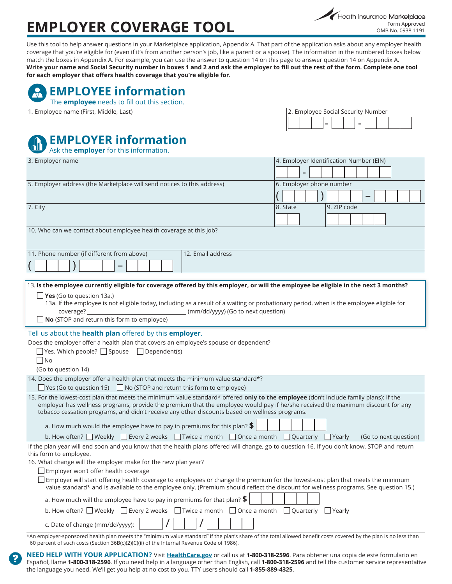# **EMPLOYER COVERAGE TOOL**

Use this tool to help answer questions in your Marketplace application, Appendix A. That part of the application asks about any employer health coverage that you're eligible for (even if it's from another person's job, like a parent or a spouse). The information in the numbered boxes below match the boxes in Appendix A. For example, you can use the answer to question 14 on this page to answer question 14 on Appendix A. **Write your name and Social Security number in boxes 1 and 2 and ask the employer to fill out the rest of the form. Complete one tool for each employer that offers health coverage that you're eligible for.**

## **EMPLOYEE information**

The **employee** needs to fill out this section.

| 1. Employee name (First, Middle, Last) | 2. Employee Social Security Number |
|----------------------------------------|------------------------------------|
|----------------------------------------|------------------------------------|

|  | 2. Employee Social Security Number |  |  |  |  |
|--|------------------------------------|--|--|--|--|
|  |                                    |  |  |  |  |
|  |                                    |  |  |  |  |

## **EMPLOYER information**

Ask the **employer** for this information.

| 3. Employer name                                                                                                                                                                                                                                              | 4. Employer Identification Number (EIN) |
|---------------------------------------------------------------------------------------------------------------------------------------------------------------------------------------------------------------------------------------------------------------|-----------------------------------------|
|                                                                                                                                                                                                                                                               |                                         |
| 5. Employer address (the Marketplace will send notices to this address)                                                                                                                                                                                       | 6. Employer phone number                |
|                                                                                                                                                                                                                                                               |                                         |
| 7. City                                                                                                                                                                                                                                                       | 9. ZIP code<br>8. State                 |
|                                                                                                                                                                                                                                                               |                                         |
|                                                                                                                                                                                                                                                               |                                         |
| 10. Who can we contact about employee health coverage at this job?                                                                                                                                                                                            |                                         |
| 11. Phone number (if different from above)<br>12. Email address                                                                                                                                                                                               |                                         |
|                                                                                                                                                                                                                                                               |                                         |
|                                                                                                                                                                                                                                                               |                                         |
| 13. Is the employee currently eligible for coverage offered by this employer, or will the employee be eligible in the next 3 months?                                                                                                                          |                                         |
| <b>Yes</b> (Go to question 13a.)                                                                                                                                                                                                                              |                                         |
| 13a. If the employee is not eligible today, including as a result of a waiting or probationary period, when is the employee eligible for                                                                                                                      |                                         |
| (mm/dd/yyyy) (Go to next question)<br>coverage?                                                                                                                                                                                                               |                                         |
| $\Box$ No (STOP and return this form to employee)                                                                                                                                                                                                             |                                         |
| Tell us about the <b>health plan</b> offered by this <b>employer</b> .                                                                                                                                                                                        |                                         |
| Does the employer offer a health plan that covers an employee's spouse or dependent?                                                                                                                                                                          |                                         |
| $\Box$ Yes. Which people? $\Box$ Spouse $\Box$ Dependent(s)                                                                                                                                                                                                   |                                         |
| $\Box$ No                                                                                                                                                                                                                                                     |                                         |
| (Go to question 14)<br>14. Does the employer offer a health plan that meets the minimum value standard*?                                                                                                                                                      |                                         |
| $\Box$ Yes (Go to question 15) $\Box$ No (STOP and return this form to employee)                                                                                                                                                                              |                                         |
| 15. For the lowest-cost plan that meets the minimum value standard* offered only to the employee (don't include family plans): If the                                                                                                                         |                                         |
| employer has wellness programs, provide the premium that the employee would pay if he/she received the maximum discount for any                                                                                                                               |                                         |
| tobacco cessation programs, and didn't receive any other discounts based on wellness programs.                                                                                                                                                                |                                         |
| a. How much would the employee have to pay in premiums for this plan? $\frac{1}{2}$                                                                                                                                                                           |                                         |
| b. How often? $\Box$ Weekly $\Box$ Every 2 weeks $\Box$ Twice a month $\Box$ Once a month $\Box$ Quarterly $\Box$ Yearly                                                                                                                                      | (Go to next question)                   |
| If the plan year will end soon and you know that the health plans offered will change, go to question 16. If you don't know, STOP and return<br>this form to employee.                                                                                        |                                         |
| 16. What change will the employer make for the new plan year?                                                                                                                                                                                                 |                                         |
| Employer won't offer health coverage                                                                                                                                                                                                                          |                                         |
| Employer will start offering health coverage to employees or change the premium for the lowest-cost plan that meets the minimum                                                                                                                               |                                         |
| value standard* and is available to the employee only. (Premium should reflect the discount for wellness programs. See question 15.)                                                                                                                          |                                         |
| a. How much will the employee have to pay in premiums for that plan? $$$                                                                                                                                                                                      |                                         |
| b. How often? $\Box$ Weekly $\Box$ Every 2 weeks $\Box$ Twice a month $\Box$ Once a month $\Box$ Quarterly                                                                                                                                                    | $\Box$ Yearly                           |
| c. Date of change (mm/dd/yyyy):                                                                                                                                                                                                                               |                                         |
| *An employer-sponsored health plan meets the "minimum value standard" if the plan's share of the total allowed benefit costs covered by the plan is no less than<br>60 percent of such costs (Section 36B(c)(2)(C)(ii) of the Internal Revenue Code of 1986). |                                         |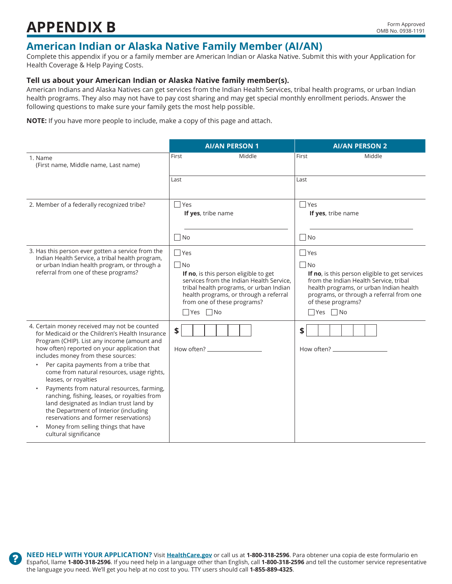## **APPENDIX B** Form Approved

### **American Indian or Alaska Native Family Member (AI/AN)**

Complete this appendix if you or a family member are American Indian or Alaska Native. Submit this with your Application for Health Coverage & Help Paying Costs.

#### **Tell us about your American Indian or Alaska Native family member(s).**

American Indians and Alaska Natives can get services from the Indian Health Services, tribal health programs, or urban Indian health programs. They also may not have to pay cost sharing and may get special monthly enrollment periods. Answer the following questions to make sure your family gets the most help possible.

**NOTE:** If you have more people to include, make a copy of this page and attach.

|                                                                                                                                                                                                                                                                                                                                                                                                                                                                                                                                                                                                                                               | <b>AI/AN PERSON 1</b>                                                                                                                                                                                                                        | <b>AI/AN PERSON 2</b>                                                                                                                                                                                                                                    |
|-----------------------------------------------------------------------------------------------------------------------------------------------------------------------------------------------------------------------------------------------------------------------------------------------------------------------------------------------------------------------------------------------------------------------------------------------------------------------------------------------------------------------------------------------------------------------------------------------------------------------------------------------|----------------------------------------------------------------------------------------------------------------------------------------------------------------------------------------------------------------------------------------------|----------------------------------------------------------------------------------------------------------------------------------------------------------------------------------------------------------------------------------------------------------|
| 1. Name<br>(First name, Middle name, Last name)                                                                                                                                                                                                                                                                                                                                                                                                                                                                                                                                                                                               | Middle<br>First                                                                                                                                                                                                                              | Middle<br>First                                                                                                                                                                                                                                          |
|                                                                                                                                                                                                                                                                                                                                                                                                                                                                                                                                                                                                                                               | Last                                                                                                                                                                                                                                         | Last                                                                                                                                                                                                                                                     |
| 2. Member of a federally recognized tribe?                                                                                                                                                                                                                                                                                                                                                                                                                                                                                                                                                                                                    | $\Box$ Yes<br>If yes, tribe name                                                                                                                                                                                                             | $\Box$ Yes<br>If yes, tribe name                                                                                                                                                                                                                         |
|                                                                                                                                                                                                                                                                                                                                                                                                                                                                                                                                                                                                                                               | No.                                                                                                                                                                                                                                          | $\Box$ No                                                                                                                                                                                                                                                |
| 3. Has this person ever gotten a service from the<br>Indian Health Service, a tribal health program,<br>or urban Indian health program, or through a<br>referral from one of these programs?                                                                                                                                                                                                                                                                                                                                                                                                                                                  | $\Box$ Yes<br>$\Box$ No<br>If no, is this person eligible to get<br>services from the Indian Health Service,<br>tribal health programs, or urban Indian<br>health programs, or through a referral<br>from one of these programs?<br>∃Yes ∩No | $\Box$ Yes<br>$\Box$ No<br>If no, is this person eligible to get services<br>from the Indian Health Service, tribal<br>health programs, or urban Indian health<br>programs, or through a referral from one<br>of these programs?<br>$\Box$ Yes $\Box$ No |
| 4. Certain money received may not be counted<br>for Medicaid or the Children's Health Insurance<br>Program (CHIP). List any income (amount and<br>how often) reported on your application that<br>includes money from these sources:<br>Per capita payments from a tribe that<br>come from natural resources, usage rights,<br>leases, or royalties<br>Payments from natural resources, farming,<br>ranching, fishing, leases, or royalties from<br>land designated as Indian trust land by<br>the Department of Interior (including<br>reservations and former reservations)<br>Money from selling things that have<br>cultural significance | \$                                                                                                                                                                                                                                           | \$                                                                                                                                                                                                                                                       |